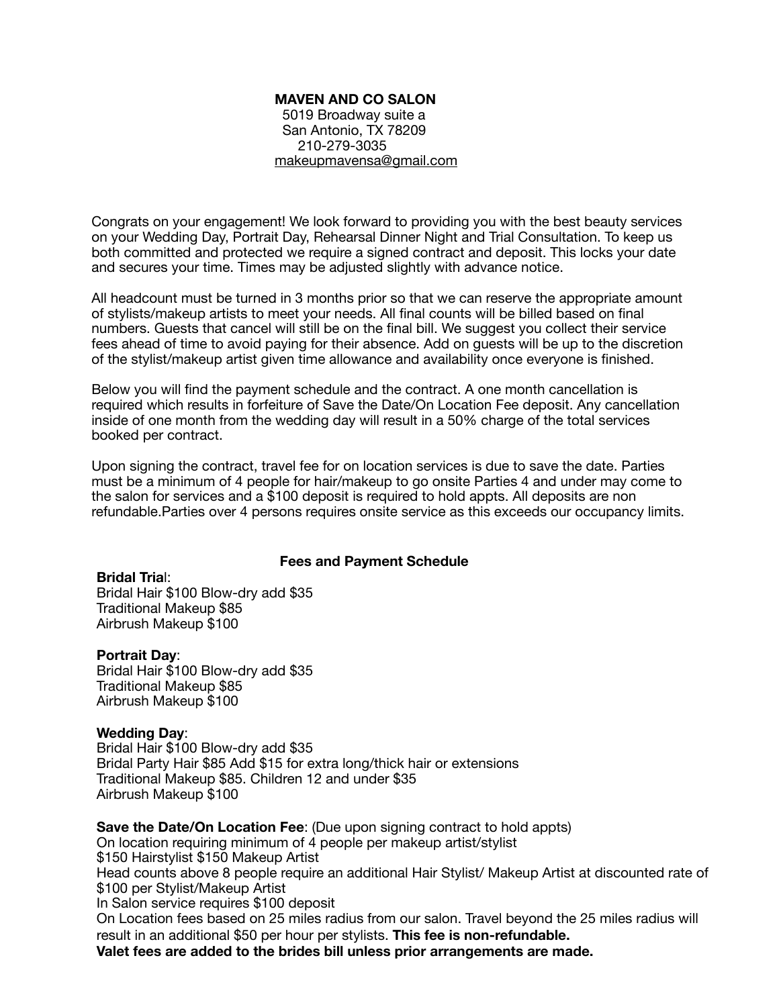# **MAVEN AND CO SALON**

 5019 Broadway suite a San Antonio, TX 78209 210-279-3035 [makeupmavensa@gmail.com](mailto:makeupmavensa@gmail.com)

Congrats on your engagement! We look forward to providing you with the best beauty services on your Wedding Day, Portrait Day, Rehearsal Dinner Night and Trial Consultation. To keep us both committed and protected we require a signed contract and deposit. This locks your date and secures your time. Times may be adjusted slightly with advance notice.

All headcount must be turned in 3 months prior so that we can reserve the appropriate amount of stylists/makeup artists to meet your needs. All final counts will be billed based on final numbers. Guests that cancel will still be on the final bill. We suggest you collect their service fees ahead of time to avoid paying for their absence. Add on guests will be up to the discretion of the stylist/makeup artist given time allowance and availability once everyone is finished.

Below you will find the payment schedule and the contract. A one month cancellation is required which results in forfeiture of Save the Date/On Location Fee deposit. Any cancellation inside of one month from the wedding day will result in a 50% charge of the total services booked per contract.

Upon signing the contract, travel fee for on location services is due to save the date. Parties must be a minimum of 4 people for hair/makeup to go onsite Parties 4 and under may come to the salon for services and a \$100 deposit is required to hold appts. All deposits are non refundable.Parties over 4 persons requires onsite service as this exceeds our occupancy limits.

# **Fees and Payment Schedule**

### **Bridal Tria**l:

Bridal Hair \$100 Blow-dry add \$35 Traditional Makeup \$85 Airbrush Makeup \$100

### **Portrait Day**:

Bridal Hair \$100 Blow-dry add \$35 Traditional Makeup \$85 Airbrush Makeup \$100

# **Wedding Day**:

Bridal Hair \$100 Blow-dry add \$35 Bridal Party Hair \$85 Add \$15 for extra long/thick hair or extensions Traditional Makeup \$85. Children 12 and under \$35 Airbrush Makeup \$100

**Save the Date/On Location Fee**: (Due upon signing contract to hold appts) On location requiring minimum of 4 people per makeup artist/stylist \$150 Hairstylist \$150 Makeup Artist Head counts above 8 people require an additional Hair Stylist/ Makeup Artist at discounted rate of \$100 per Stylist/Makeup Artist In Salon service requires \$100 deposit On Location fees based on 25 miles radius from our salon. Travel beyond the 25 miles radius will result in an additional \$50 per hour per stylists. **This fee is non-refundable. Valet fees are added to the brides bill unless prior arrangements are made.**